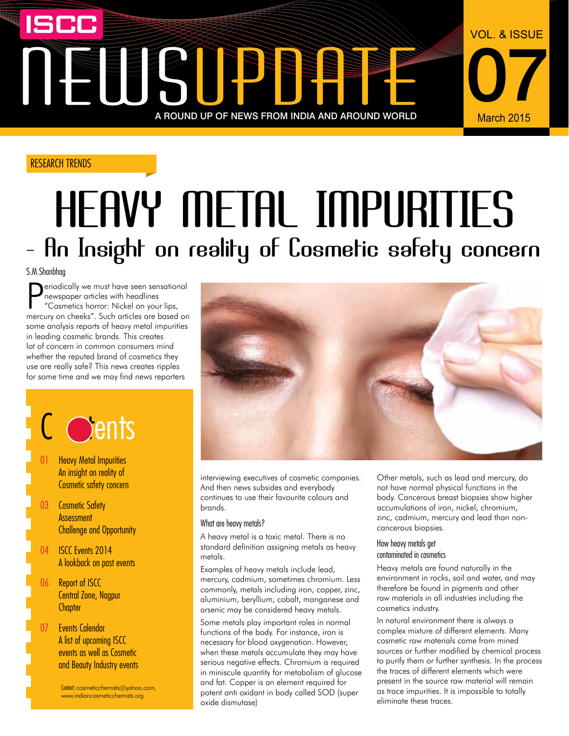## NEWSLET A ROUND UP OF NEWS FROM INDIA AND AROUND WORLD March 2015 A ROUND UP OF NEWS FROM INDIA AND AROUND WORLD

#### RESEARCH TRENDS

## Heavy metal impurities - An Insight on reality of Cosmetic safety concern

S.M.Shanbhag

**P**eriodically we must have seen sensational<br>
mewspaper articles with headlines<br>
"Cosmetics horror: Nickel on your lips,<br>
mercury on cheeks". Such articles are based on eriodically we must have seen sensational newspaper articles with headlines "Cosmetics horror: Nickel on your lips, some analysis reports of heavy metal impurities in leading cosmetic brands. This creates lot of concern in common consumers mind whether the reputed brand of cosmetics they use are really safe? This news creates ripples for some time and we may find news reporters

## $\overline{C}$  cents

- 01 Heavy Metal Impurities An insight on reality of Cosmetic safety concern
- 03 Cosmetic Safety **Assessment** Challenge and Opportunity
- 04 **ISCC Fvents 2014** A lookback on past events
- 06 Report of ISCC Central Zone, Nagpur **Chapter**
- 07 Events Calendar A list of upcoming ISCC events as well as Cosmetic and Beauty Industry events

Contact: cosmeticchemists@yahoo.com, www.indiancosmeticchemists.org



interviewing executives of cosmetic companies. And then news subsides and everybody continues to use their favourite colours and brands.

#### What are heavy metals?

A heavy metal is a toxic metal. There is no standard definition assigning metals as heavy metals.

Examples of heavy metals include lead, mercury, cadmium, sometimes chromium. Less commonly, metals including iron, copper, zinc, aluminium, beryllium, cobalt, manganese and arsenic may be considered heavy metals.

Some metals play important roles in normal functions of the body. For instance, iron is necessary for blood oxygenation. However, when these metals accumulate they may have serious negative effects. Chromium is required in miniscule quantity for metabolism of glucose and fat. Copper is an element required for potent anti oxidant in body called SOD (super oxide dismutase)

Other metals, such as lead and mercury, do not have normal physical functions in the body. Cancerous breast biopsies show higher accumulations of iron, nickel, chromium, zinc, cadmium, mercury and lead than noncancerous biopsies.

07

March 2015

VOL. & ISSUE

#### How heavy metals get contaminated in cosmetics

Heavy metals are found naturally in the environment in rocks, soil and water, and may therefore be found in pigments and other raw materials in all industries including the cosmetics industry.

In natural environment there is always a complex mixture of different elements. Many cosmetic raw materials come from mined sources or further modified by chemical process to purify them or further synthesis. In the process the traces of different elements which were present in the source raw material will remain as trace impurities. It is impossible to totally eliminate these traces.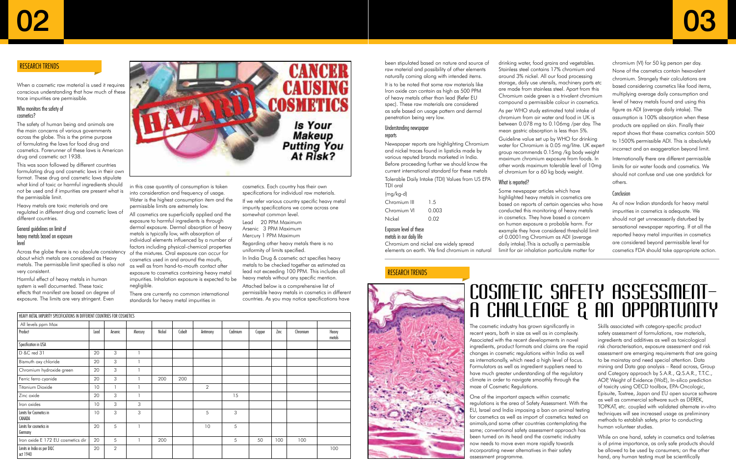#### RESEARCH TRENDS

#### RESEARCH TRENDS



When a cosmetic raw material is used it requires conscious understanding that how much of these trace impurities are permissible.

#### Who monitors the safety of cosmetics?

The safety of human being and animals are the main concerns of various governments across the globe. This is the prime purpose of formulating the laws for food drug and cosmetics. Forerunner of these laws is American drug and cosmetic act 1938.

This was soon followed by different countries formulating drug and cosmetic laws in their own format. These drug and cosmetic laws stipulate what kind of toxic or harmful ingredients should not be used and if impurities are present what is the permissible limit.

Heavy metals are toxic materials and are regulated in different drug and cosmetic laws of different countries.

#### General guidelines on limit of heavy metals based on exposure level

Across the globe there is no absolute consistency about which metals are considered as Heavy metals. The permissible limit specified is also not very consistent.

Harmful effect of heavy metals in human system is well documented. These toxic effects that manifest are based on degree of exposure. The limits are very stringent. Even

**HEAVY METAL IMPURITY SPECIFICATIONS IN DIFFERENT COUNTRIES FOR COSMETICS** 



in this case quantity of consumption is taken into consideration and frequency of usage. Water is the highest consumption item and the permissible limits are extremely low.

All cosmetics are superficially applied and the exposure to harmful ingredients is through dermal exposure. Dermal absorption of heavy metals is typically low, with absorption of individual elements influenced by a number of factors including physical-chemical properties of the mixtures. Oral exposure can occur for cosmetics used in and around the mouth, as well as from hand-to-mouth contact after exposure to cosmetics containing heavy metal impurities. Inhalation exposure is expected to be negligible.

There are currently no common international standards for heavy metal impurities in

cosmetics. Each country has their own specifications for individual raw materials. If we refer various country specific heavy metal impurity specifications we come across one somewhat common level.

Lead 20 PPM Maximum Arsenic 3 PPM Maximum Mercury 1 PPM Maximum

Regarding other heavy metals there is no uniformity of limits specified.

In India Drug & cosmetic act specifies heavy metals to be checked together as estimated as lead not exceeding 100 PPM. This includes all heavy metals without any specific mention. Attached below is a comprehensive list of permissible heavy metals in cosmetics in different countries. As you may notice specifications have

been stipulated based on nature and source of raw material and possibility of other elements naturally coming along with intended items.

It is to be noted that some raw materials like Iron oxide can contain as high as 500 PPM of heavy metals other than lead (Refer EU spec). These raw materials are considered as safe based on usage pattern and dermal penetration being very low.

#### Understanding newspaper reports

Newspaper reports are highlighting Chromium and nickel traces found in lipsticks made by various reputed brands marketed in India. Before proceeding further we should know the current international standard for these metals Tolerable Daily Intake (TDI) Values from US EPA TDI oral

| (mg/kg-d)    |       |
|--------------|-------|
| Chromium III | 15    |
| Chromium VI  | O 003 |
| Nickel       | O 02  |
|              |       |

#### Exposure level of these

metals in our daily life

Chromium and nickel are widely spread elements on earth. We find chromium in natural drinking water, food grains and vegetables. Stainless steel contains 17% chromium and around 3% nickel. All our food processing storage, daily use utensils, machinery parts etc are made from stainless steel. Apart from this Chromium oxide green is a trivalent chromium compound a permissible colour in cosmetics. As per WHO study estimated total intake of chromium from air water and food in UK is between 0.078 mg to 0.106mg /per day. The mean gastric absorption is less than 5%.

Guideline value set up by WHO for drinking water for Chromium is 0.05 mg/litre. UK expert group recommends 0.15mg /kg body weight maximum chromium exposure from foods. In other words maximum tolerable level of 10mg of chromium for a 60 kg body weight.

What is reported?

Some newspaper articles which have highlighted heavy metals in cosmetics are based on reports of certain agencies who have conducted this monitoring of heavy metals in cosmetics. They have based a concern on human exposure a probable harm. For example they have considered threshold limit of 0.0001mg Chromium as ADI (average daily intake).This is actually a permissible limit for air inhalation particulate matter for

chromium (VI) for 50 kg person per day. None of the cosmetics contain hexavalent chromium. Strangely their calculations are based considering cosmetics like food items, multiplying average daily consumption and level of heavy metals found and using this figure as ADI (average daily intake). The assumption is 100% absorption when these products are applied on skin. Finally their report shows that these cosmetics contain 500 to 1500% permissible ADI. This is absolutely incorrect and an exaggeration beyond limit. Internationally there are different permissible limits for air water foods and cosmetics. We should not confuse and use one yardstick for others.

#### Conclusion

As of now Indian standards for heavy metal impurities in cosmetics is adequate. We should not get unnecessarily disturbed by sensational newspaper reporting. If at all the reported heavy metal impurities in cosmetics are considered beyond permissible level for cosmetics FDA should take appropriate action.

The cosmetic industry has grown significantly in recent years, both in size as well as in complexity. Associated with the recent developments in novel ingredients, product formats and claims are the rapid changes in cosmetic regulations within India as well as internationally, which need a high level of focus. Formulators as well as ingredient suppliers need to have much greater understanding of the regulatory climate in order to navigate smoothly through the maze of Cosmetic Regulations.

One of the important aspects within cosmetic regulations is the area of Safety Assessment. With the EU, Israel and India imposing a ban on animal testing for cosmetics as well as import of cosmetics tested on animals,and some other countries contemplating the same; conventional safety assessment approach has been turned on its head and the cosmetic industry now needs to move even more rapidly towards incorporating newer alternatives in their safety assessment programme.

Skills associated with category-specific product safety assessment of formulations, raw materials, ingredients and additives as well as toxicological risk characterisation, exposure assessment and risk assessment are emerging requirements that are going to be mainstay and need special attention. Data mining and Data gap analysis – Read across, Group and Category approach by S.A.R., Q.S.A.R., T.T.C., AOP, Weight of Evidence (WoE), In-silico prediction of toxicity using OECD toolbox, EPA-Oncologic, Episuite, Toxtree, Japan and EU open source software as well as commercial software such as DEREK, TOPKAT, etc. coupled with validated alternate in-vitro techniques will see increased usage as preliminary methods to establish safety, prior to conducting human volunteer studies.

While on one hand, safety in cosmetics and toiletries is of prime importance, as only safe products should be allowed to be used by consumers; on the other hand, any human testing must be scientifically

| All levels ppm Max                     |      |                |         |        |        |                |         |        |      |          |                 |
|----------------------------------------|------|----------------|---------|--------|--------|----------------|---------|--------|------|----------|-----------------|
| Product                                | Lead | Arsenic        | Mercury | Nickel | Cobalt | Antimony       | Cadmium | Copper | Zinc | Chromium | Heavy<br>metals |
| Specification in USA                   |      |                |         |        |        |                |         |        |      |          |                 |
| D &C red 31                            | 20   | 3              |         |        |        |                |         |        |      |          |                 |
| Bismuth oxy chloride                   | 20   | 3              |         |        |        |                |         |        |      |          |                 |
| Chromium hydroxide green               | 20   | 3              |         |        |        |                |         |        |      |          |                 |
| Ferric ferro cyanide                   | 20   | 3              |         | 200    | 200    |                |         |        |      |          |                 |
| <b>Titanium Dioxide</b>                | 10   |                |         |        |        | $\overline{2}$ |         |        |      |          |                 |
| Zinc oxide                             | 20   | 3              |         |        |        |                | 15      |        |      |          |                 |
| Iron oxides                            | 10   | 3              | 3       |        |        |                |         |        |      |          |                 |
| Limits for Cosmetics in<br>CANADA      | 10   | 3              | 3       |        |        | 5              | 3       |        |      |          |                 |
| Limits for cosmetics in<br>Germany     | 20   | 5              |         |        |        | 10             | 5       |        |      |          |                 |
| Iron oxide E 172 EU cosmetics dir      | 20   | 5              |         | 200    |        |                | 5       | 50     | 100  | 100      |                 |
| Limits in India as per D&C<br>act 1940 | 20   | $\overline{2}$ |         |        |        |                |         |        |      |          | 100             |

### Cosmetic Safety Assessment– A Challenge & An Opportunity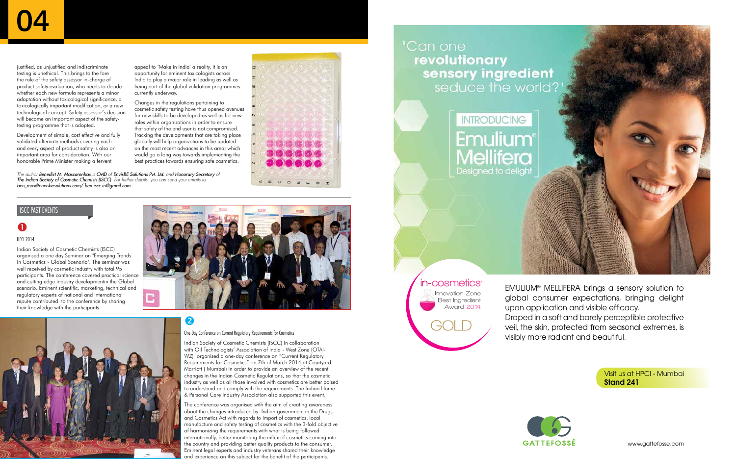www.gattefosse.com

Visit us at HPCI - Mumbai Stand 241

EMULIUM® MELLIFERA brings a sensory solution to global consumer expectations, bringing delight upon application and visible efficacy. Draped in a soft and barely perceptible protective veil, the skin, protected from seasonal extremes, is visibly more radiant and beautiful.



justified, as unjustified and indiscriminate testing is unethical. This brings to the fore the role of the safety assessor in-charge of product safety evaluation, who needs to decide whether each new formula represents a minor adaptation without toxicological significance, a toxicologically important modification, or a new technological concept. Safety assessor's decision will become an important aspect of the safetytesting programme that is adopted.

Development of simple, cost effective and fully validated alternate methods covering each and every aspect of product safety is also an important area for consideration. With our honorable Prime Minister making a fervent

#### $\bullet$ HPCI 2014

appeal to 'Make in India' a reality, it is an opportunity for eminent toxicologists across India to play a major role in leading as well as being part of the global validation programmes currently underway.

Changes in the regulations pertaining to cosmetic safety testing have thus opened avenues for new skills to be developed as well as for new roles within organizations in order to ensure that safety of the end user is not compromised. Tracking the developments that are taking place globally will help organizations to be updated on the most recent advances in this area; which would go a long way towards implementing the best practices towards ensuring safe cosmetics.

2

*The author Benedict M. Mascarenhas is CMD of EnvisBE Solutions Pvt. Ltd. and Honorary Secretary of The Indian Society of Cosmetic Chemists (ISCC). For further details, you can send your emails to ben\_mas@envisbesolutions.com/ ben.iscc.in@gmail.com*



Indian Society of Cosmetic Chemists (ISCC) organised a one day Seminar on "Emerging Trends in Cosmetics - Global Scenario". The seminar was well received by cosmetic industry with total 95 participants. The conference covered practical science and cutting edge industry developmentin the Global scenario. Eminent scientific, marketing, technical and regulatory experts of national and international repute contributed to the conference by sharing their knowledge with the participants.



CECER



#### One Day Conference on Current Regulatory Requirements for Cosmetics

Indian Society of Cosmetic Chemists (ISCC) in collaboration with Oil Technologists' Association of India - West Zone (OTAI-WZ) organised a one-day conference on "Current Regulatory Requirements for Cosmetics" on 7th of March 2014 at Courtyard Marriott ( Mumbai) in order to provide an overview of the recent changes in the Indian Cosmetic Regulations, so that the cosmetic industry as well as all those involved with cosmetics are better poised to understand and comply with the requirements. The Indian Home & Personal Care Industry Association also supported this event.

The conference was organised with the aim of creating awareness about the changes introduced by Indian government in the Drugs and Cosmetics Act with regards to import of cosmetics, local manufacture and safety testing of cosmetics with the 3-fold objective of harmonizing the requirements with what is being followed internationally, better monitoring the influx of cosmetics coming into the country and providing better quality products to the consumer. Eminent legal experts and industry veterans shared their knowledge and experience on this subject for the benefit of the participants.

Can one revolutionary sensory ingredient



in-cosmetics Innovation Zone Best Ingredient Award 2014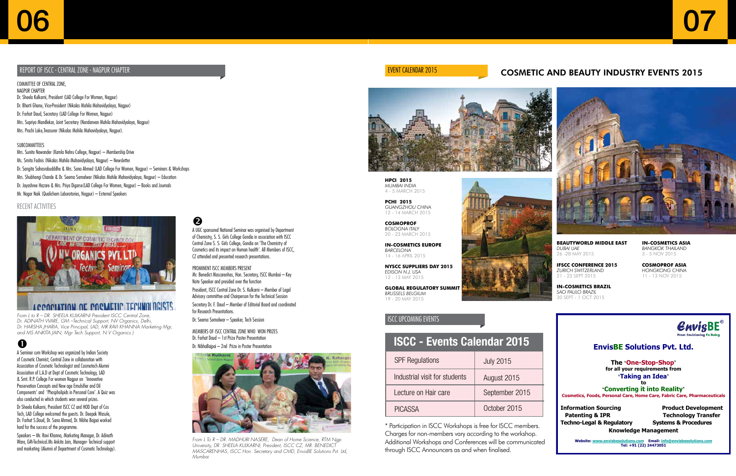#### **EnvisBE Solutions Pvt. Ltd.**

**The 'One-Stop-Shop' for all your requirements from 'Taking an Idea'**

**to 'Converting it into Reality' Cosmetics, Foods, Personal Care, Home Care, Fabric Care, Pharmaceuticals** 

**Information Sourcing Troduct Development Techno-Legal & Regulatory Systems & Procedures** 

**Patenting & IPR Technology Transfer Knowledge Management**

Website: www.envisbesolutions.com Email: info **Tel: +91 (22) 24473051** 

07

#### EVENT CALENDAR 2015 **EVENT CALENDAR 2015 COSMETIC AND BEAUTY INDUSTRY EVENTS 2015**



#### ISCC upcoming events

#### **ISCC - Events Calendar 2015**

| <b>SPF Regulations</b>        | <b>July 2015</b> |
|-------------------------------|------------------|
| Industrial visit for students | August 2015      |
| Lecture on Hair care          | September 2015   |
| <b>PICASSA</b>                | October 2015     |

\* Participation in ISCC Workshops is free for ISCC members. Charges for non-members vary according to the workshop. Additional Workshops and Conferences will be communicated through ISCC Announcers as and when finalised.



20 - 23 MARCH 2015

**in-COSMETICS EUROPE** *BARCELONA* 14 - 16 APRIL 2015

 **NYSCC SUPPLIERS DAY 2015** *EDISON N.J. USA* 12 - 13 MAY 2015

**GLOBAL REGULATORY SUMMIT**  *BRUSSELS BELGIUM* 19 - 20 MAY 2015

**BEAUTYWORLD MIDDLE EAST** *DUBAI UAE* 26 -28 MAY 2015

**IFSCC CONFERENCE 2015** *ZURICH SWITZERLAND* 21 - 23 SEPT 2015

**in-COSMETICS BRAZIL** *SAO PAULO BRAZIL* 30 SEPT - 1 OCT 2015

**in-COSMETICS ASIA** *BANGKOK THAILAND*  3 - 5 NOV 2015

**COSMOPROF ASIA** *HONGKONG CHINA* 11 - 13 NOV 2015



A UGC sponsored National Seminar was organised by Department of Chemistry, S. S. Girls College Gondia in association with ISCC Central Zone S. S. Girls College, Gondia on 'The Chemistry of Cosmetics and its impact on Human health'. All Members of ISCC, CZ attended and presented research presentations.

Prominent ISCC MEMBERS present Mr. Benedict Mascarenhas, Hon. Secretary, ISCC Mumbai – Key Note Speaker and presided over the function

President, ISCC Central Zone Dr. S. Kulkarni – Member of Legal Advisory committee and Chairperson for the Technical Session

Secretary Dr. F. Daud – Member of Editorial Board and coordinated for Research Presentations.

Dr. Seema Somalwar – Speaker, Tech Session

Members of ISCC Central Zone who Won Prizes Dr. Farhat Daud – 1st Prize Poster Presentation Dr. NibhaBajpai – 2nd Prize in Poster Presentation



A Seminar cum Workshop was organized by Indian Society of Cosmetic Chemist, Central Zone in collaboration with Association of Cosmetic Technologist and Cosmotech Alumni Association of L.A.D at Dept of Cosmetic Technology, LAD & Smt. R.P. College For women Nagpur on 'Innovative Preservation Concepts and New age Emulsifier and Oil Components' and 'Phospholipids in Personal Care'. A Quiz was also conducted in which students won several prizes.

Dr Sheela Kulkarni, President ISCC CZ and HOD Dept of Cos Tech, LAD College welcomed the guests. Dr. Deepak Wasule, Dr. Farhat S.Daud, Dr. Sana Ahmed, Dr. Nibha Bajpai worked hard for the success of the programme.

Speakers – Mr. Ravi Khanna, Marketing Manager, Dr. Adinath Ware, GM-Technical.Ms Ankita Jain, Manager- Technical support and marketing (Alumni of Department of Cosmetic Technology).

#### 2

Committee of Central Zone, Nagpur chapter Dr. Sheela Kulkarni, President (LAD College For Women, Nagpur) Dr. Bharti Ghanu, Vice-President (Nikalas Mahila Mahavidyalaya, Nagpur) Dr. Farhat Daud, Secretary (LAD College For Women, Nagpur) Mrs. Supriya Mandlekar, Joint Secretary (Nandanvan Mahila Mahavidyalaya, Nagpur) Mrs. Prachi Lake,Treasurer (Nikalas Mahila Mahavidyalaya, Nagpur).

#### **SURCOMMITTEES**

Mrs. Sunita Nawander (Kamla Nehru College, Nagpur) – Membership Drive Ms. Smita Fadnis (Nikalas Mahila Mahavidyalaya, Nagpur) – Newsletter Dr. Sangita Sahasrabudddhe & Mrs. Sana Ahmed (LAD College For Women, Nagpur) – Seminars & Workshops Mrs. Shubhangi Chande & Dr. Seema Somalwar (Nikalas Mahila Mahavidyalaya, Nagpur) – Education Dr. Jayashree Hazare & Mrs. Priya Digarse(LAD College For Women, Nagpur) – Books and Journals Mr. Nagar Naik (Qualichem Laboratories, Nagpur) – External Speakers

#### Report of ISCC - Central Zone - Nagpur Chapter

*From L to R – DR. SHEELA KULKARNI President ISCC Central Zone, Dr. ADINATH WARE, GM –Technical Support, NV Organics, Delhi, Dr. HARSHA JHARIA, Vice Principal, LAD, MR RAVI KHANNA Marketing Mgr, and MS ANKITA JAIN, Mgr Tech Support, N V Organics.)*

*From L To R – Dr. Madhuri Nasere, Dean of Home Science, RTM Ngp University, Dr. Sheela Kulkarni, President, ISCC CZ, Mr. Benedict Mascarenhas, ISCC Hon. Secretary and CMD, EnvisBE Solutions Pvt. Ltd, Mumbai*

#### RECENT ACTIVITIES



#### **ACCOMMATION OF PORMETIC TECHNOLOGISTS**